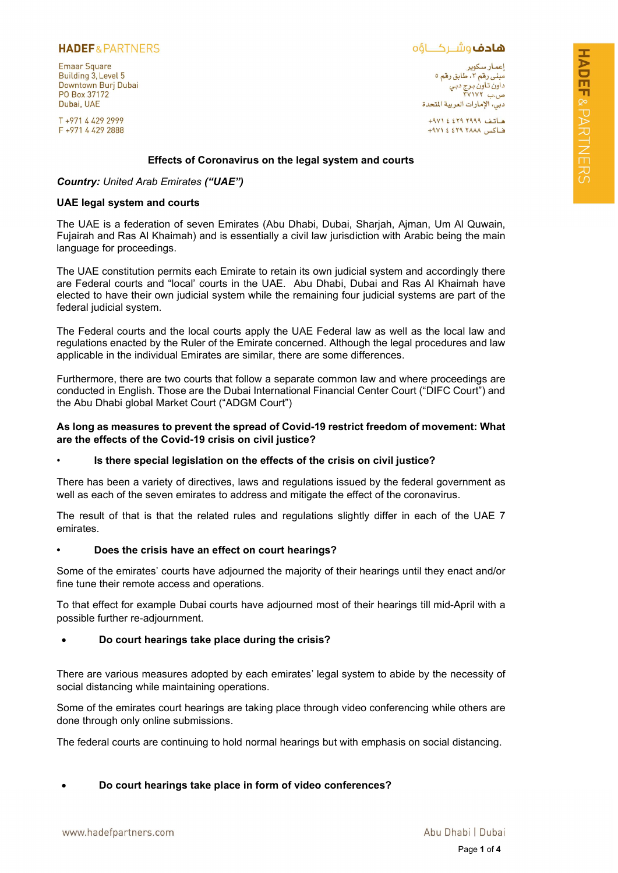## **HADEF& PARTNERS**

**Emaar Square** Building 3, Level 5 Downtown Burj Dubai PO Box 37172 Dubai, UAE

T+97144292999 F +971 4 429 2888 **ھادف**وشــرکـــاؤه

اعمـار سـکویر<br>مبنـی رقم ۳، طابق رقم ٥ مېسى رتم ، ، ت بى ر.<br>داون تاون برج دبي<br>ص.ب ۲۷۱۷۲ دبي، الإمارات العربية المتحدة

هاتف ٢٩٩٩ ٤٤٢٩ ٠٩٧١ فاكس ٢٨٨٨ ٤٢٩ ٤ ٩٧١+

### Effects of Coronavirus on the legal system and courts

### Country: United Arab Emirates ("UAE")

### UAE legal system and courts

The UAE is a federation of seven Emirates (Abu Dhabi, Dubai, Sharjah, Ajman, Um Al Quwain, Fujairah and Ras Al Khaimah) and is essentially a civil law jurisdiction with Arabic being the main language for proceedings.

The UAE constitution permits each Emirate to retain its own judicial system and accordingly there are Federal courts and "local' courts in the UAE. Abu Dhabi, Dubai and Ras Al Khaimah have elected to have their own judicial system while the remaining four judicial systems are part of the federal judicial system.

The Federal courts and the local courts apply the UAE Federal law as well as the local law and regulations enacted by the Ruler of the Emirate concerned. Although the legal procedures and law applicable in the individual Emirates are similar, there are some differences.

Furthermore, there are two courts that follow a separate common law and where proceedings are conducted in English. Those are the Dubai International Financial Center Court ("DIFC Court") and the Abu Dhabi global Market Court ("ADGM Court")

### As long as measures to prevent the spread of Covid-19 restrict freedom of movement: What are the effects of the Covid-19 crisis on civil justice?

#### Is there special legislation on the effects of the crisis on civil justice?

There has been a variety of directives, laws and regulations issued by the federal government as well as each of the seven emirates to address and mitigate the effect of the coronavirus.

The result of that is that the related rules and regulations slightly differ in each of the UAE 7 emirates.

#### • Does the crisis have an effect on court hearings?

Some of the emirates' courts have adjourned the majority of their hearings until they enact and/or fine tune their remote access and operations.

To that effect for example Dubai courts have adjourned most of their hearings till mid-April with a possible further re-adjournment.

## Do court hearings take place during the crisis?

There are various measures adopted by each emirates' legal system to abide by the necessity of social distancing while maintaining operations.

Some of the emirates court hearings are taking place through video conferencing while others are done through only online submissions.

The federal courts are continuing to hold normal hearings but with emphasis on social distancing.

## Do court hearings take place in form of video conferences?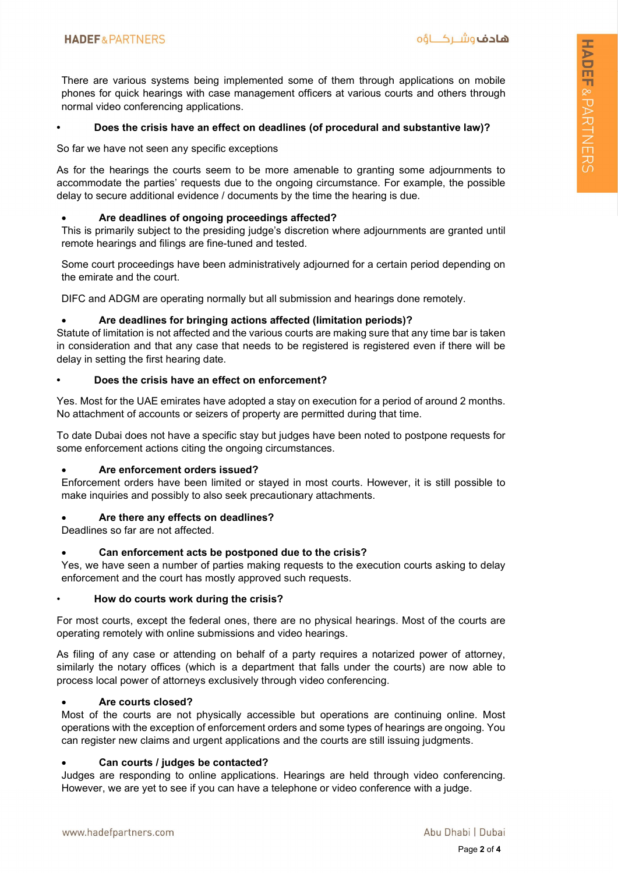There are various systems being implemented some of them through applications on mobile phones for quick hearings with case management officers at various courts and others through normal video conferencing applications.

## • Does the crisis have an effect on deadlines (of procedural and substantive law)?

So far we have not seen any specific exceptions

As for the hearings the courts seem to be more amenable to granting some adjournments to accommodate the parties' requests due to the ongoing circumstance. For example, the possible delay to secure additional evidence / documents by the time the hearing is due.

### Are deadlines of ongoing proceedings affected?

This is primarily subject to the presiding judge's discretion where adjournments are granted until remote hearings and filings are fine-tuned and tested.

Some court proceedings have been administratively adjourned for a certain period depending on the emirate and the court.

DIFC and ADGM are operating normally but all submission and hearings done remotely.

### Are deadlines for bringing actions affected (limitation periods)?

Statute of limitation is not affected and the various courts are making sure that any time bar is taken in consideration and that any case that needs to be registered is registered even if there will be delay in setting the first hearing date.

### • Does the crisis have an effect on enforcement?

Yes. Most for the UAE emirates have adopted a stay on execution for a period of around 2 months. No attachment of accounts or seizers of property are permitted during that time.

To date Dubai does not have a specific stay but judges have been noted to postpone requests for some enforcement actions citing the ongoing circumstances.

#### Are enforcement orders issued?

Enforcement orders have been limited or stayed in most courts. However, it is still possible to make inquiries and possibly to also seek precautionary attachments.

## Are there any effects on deadlines?

Deadlines so far are not affected.

## Can enforcement acts be postponed due to the crisis?

Yes, we have seen a number of parties making requests to the execution courts asking to delay enforcement and the court has mostly approved such requests.

#### • How do courts work during the crisis?

For most courts, except the federal ones, there are no physical hearings. Most of the courts are operating remotely with online submissions and video hearings.

As filing of any case or attending on behalf of a party requires a notarized power of attorney, similarly the notary offices (which is a department that falls under the courts) are now able to process local power of attorneys exclusively through video conferencing.

#### Are courts closed?

Most of the courts are not physically accessible but operations are continuing online. Most operations with the exception of enforcement orders and some types of hearings are ongoing. You can register new claims and urgent applications and the courts are still issuing judgments.

## Can courts / judges be contacted?

Judges are responding to online applications. Hearings are held through video conferencing. However, we are yet to see if you can have a telephone or video conference with a judge.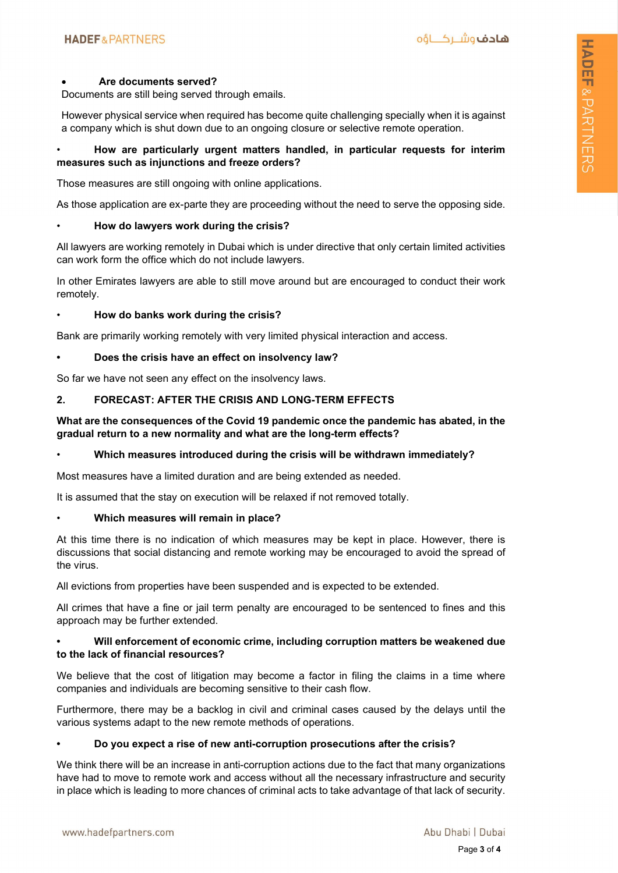### Are documents served?

Documents are still being served through emails.

However physical service when required has become quite challenging specially when it is against a company which is shut down due to an ongoing closure or selective remote operation.

## • How are particularly urgent matters handled, in particular requests for interim measures such as injunctions and freeze orders?

Those measures are still ongoing with online applications.

As those application are ex-parte they are proceeding without the need to serve the opposing side.

### • How do lawyers work during the crisis?

All lawyers are working remotely in Dubai which is under directive that only certain limited activities can work form the office which do not include lawyers.

In other Emirates lawyers are able to still move around but are encouraged to conduct their work remotely.

• How do banks work during the crisis?

Bank are primarily working remotely with very limited physical interaction and access.

### Does the crisis have an effect on insolvency law?

So far we have not seen any effect on the insolvency laws.

## 2. FORECAST: AFTER THE CRISIS AND LONG-TERM EFFECTS

## What are the consequences of the Covid 19 pandemic once the pandemic has abated, in the gradual return to a new normality and what are the long-term effects?

## • Which measures introduced during the crisis will be withdrawn immediately?

Most measures have a limited duration and are being extended as needed.

It is assumed that the stay on execution will be relaxed if not removed totally.

## • Which measures will remain in place?

At this time there is no indication of which measures may be kept in place. However, there is discussions that social distancing and remote working may be encouraged to avoid the spread of the virus.

All evictions from properties have been suspended and is expected to be extended.

All crimes that have a fine or jail term penalty are encouraged to be sentenced to fines and this approach may be further extended.

### • Will enforcement of economic crime, including corruption matters be weakened due to the lack of financial resources?

We believe that the cost of litigation may become a factor in filing the claims in a time where companies and individuals are becoming sensitive to their cash flow.

Furthermore, there may be a backlog in civil and criminal cases caused by the delays until the various systems adapt to the new remote methods of operations.

## • Do you expect a rise of new anti-corruption prosecutions after the crisis?

We think there will be an increase in anti-corruption actions due to the fact that many organizations have had to move to remote work and access without all the necessary infrastructure and security in place which is leading to more chances of criminal acts to take advantage of that lack of security.